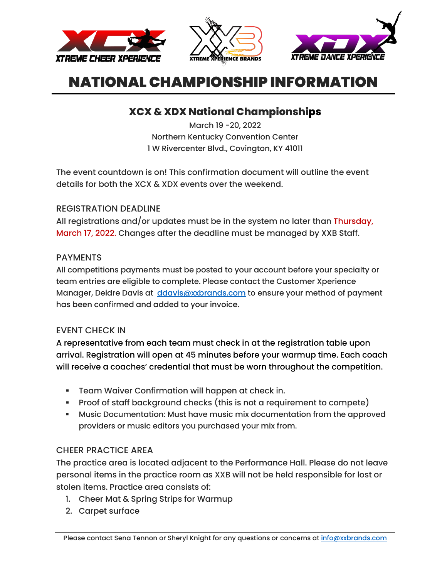





# **XCX & XDX National Championships**

March 19 -20, 2022 Northern Kentucky Convention Center 1 W Rivercenter Blvd., Covington, KY 41011

The event countdown is on! This confirmation document will outline the event details for both the XCX & XDX events over the weekend.

## REGISTRATION DEADLINE

All registrations and/or updates must be in the system no later than Thursday, March 17, 2022. Changes after the deadline must be managed by XXB Staff.

### PAYMENTS

All competitions payments must be posted to your account before your specialty or team entries are eligible to complete. Please contact the Customer Xperience Manager, Deidre Davis at [ddavis@xxbrands.com](mailto:sknight@xdx.dance) to ensure your method of payment has been confirmed and added to your invoice.

## EVENT CHECK IN

A representative from each team must check in at the registration table upon arrival. Registration will open at 45 minutes before your warmup time. Each coach will receive a coaches' credential that must be worn throughout the competition.

- **Team Waiver Confirmation will happen at check in.**
- Proof of staff background checks (this is not a requirement to compete)
- Music Documentation: Must have music mix documentation from the approved providers or music editors you purchased your mix from.

## CHEER PRACTICE AREA

The practice area is located adjacent to the Performance Hall. Please do not leave personal items in the practice room as XXB will not be held responsible for lost or stolen items. Practice area consists of:

- 1. Cheer Mat & Spring Strips for Warmup
- 2. Carpet surface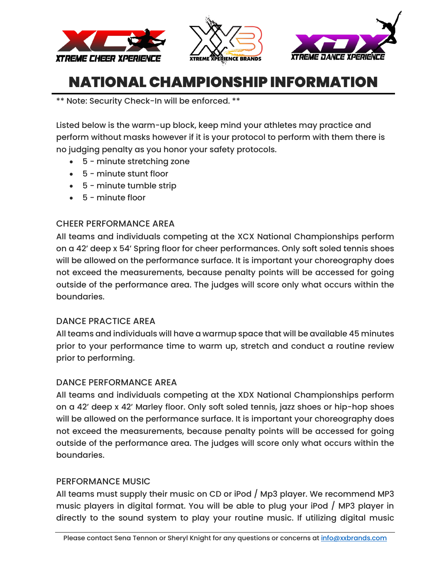





\*\* Note: Security Check-In will be enforced. \*\*

Listed below is the warm-up block, keep mind your athletes may practice and perform without masks however if it is your protocol to perform with them there is no judging penalty as you honor your safety protocols.

- 5 minute stretching zone
- 5 minute stunt floor
- 5 minute tumble strip
- 5 minute floor

### CHEER PERFORMANCE AREA

All teams and individuals competing at the XCX National Championships perform on a 42' deep x 54' Spring floor for cheer performances. Only soft soled tennis shoes will be allowed on the performance surface. It is important your choreography does not exceed the measurements, because penalty points will be accessed for going outside of the performance area. The judges will score only what occurs within the boundaries.

### DANCE PRACTICE AREA

All teams and individuals will have a warmup space that will be available 45 minutes prior to your performance time to warm up, stretch and conduct a routine review prior to performing.

### DANCE PERFORMANCE AREA

All teams and individuals competing at the XDX National Championships perform on a 42' deep x 42' Marley floor. Only soft soled tennis, jazz shoes or hip-hop shoes will be allowed on the performance surface. It is important your choreography does not exceed the measurements, because penalty points will be accessed for going outside of the performance area. The judges will score only what occurs within the boundaries.

### PERFORMANCE MUSIC

All teams must supply their music on CD or iPod / Mp3 player. We recommend MP3 music players in digital format. You will be able to plug your iPod / MP3 player in directly to the sound system to play your routine music. If utilizing digital music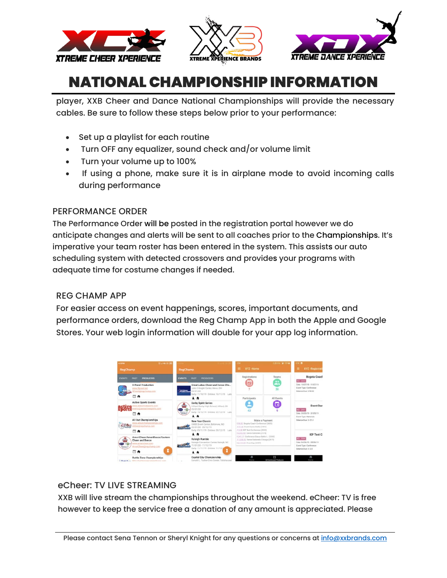





player, XXB Cheer and Dance National Championships will provide the necessary cables. Be sure to follow these steps below prior to your performance:

- Set up a playlist for each routine
- Turn OFF any equalizer, sound check and/or volume limit
- Turn your volume up to 100%
- If using a phone, make sure it is in airplane mode to avoid incoming calls during performance

### PERFORMANCE ORDER

The Performance Order will be posted in the registration portal however we do anticipate changes and alerts will be sent to all coaches prior to the Championships. It's imperative your team roster has been entered in the system. This assists our auto scheduling system with detected crossovers and provides your programs with adequate time for costume changes if needed.

### REG CHAMP APP

For easier access on event happenings, scores, important documents, and performance orders, download the Reg Champ App in both the Apple and Google Stores. Your web login information will double for your app log information.



## eCheer: TV LIVE STREAMING

XXB will live stream the championships throughout the weekend. eCheer: TV is free however to keep the service free a donation of any amount is appreciated. Please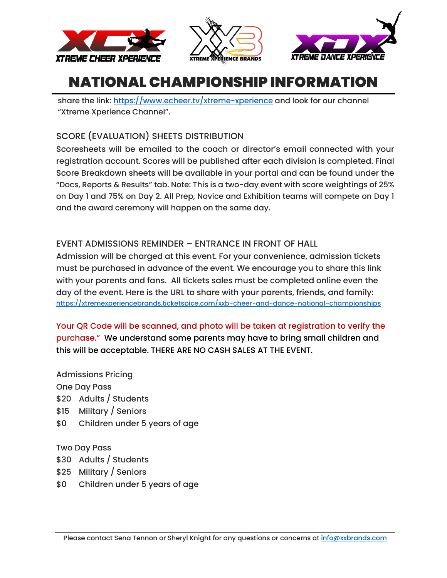





share the link:<https://www.echeer.tv/xtreme-xperience> and look for our channel "Xtreme Xperience Channel".

# SCORE (EVALUATION) SHEETS DISTRIBUTION

Scoresheets will be emailed to the coach or director's email connected with your registration account. Scores will be published after each division is completed. Final Score Breakdown sheets will be available in your portal and can be found under the "Docs, Reports & Results" tab. Note: This is a two-day event with score weightings of 25% on Day 1 and 75% on Day 2. All Prep, Novice and Exhibition teams will compete on Day 1 and the award ceremony will happen on the same day.

## EVENT ADMISSIONS REMINDER – ENTRANCE IN FRONT OF HALL

Admission will be charged at this event. For your convenience, admission tickets must be purchased in advance of the event. We encourage you to share this link with your parents and fans. All tickets sales must be completed online even the day of the event. Here is the URL to share with your parents, friends, and family: <https://xtremexperiencebrands.ticketspice.com/xxb-cheer-and-dance-national-championships>

Your QR Code will be scanned, and photo will be taken at registration to verify the purchase." We understand some parents may have to bring small children and this will be acceptable. THERE ARE NO CASH SALES AT THE EVENT.

Admissions Pricing One Day Pass \$20 Adults / Students \$15 Military / Seniors \$0 Children under 5 years of age

Two Day Pass \$30 Adults / Students \$25 Military / Seniors \$0 Children under 5 years of age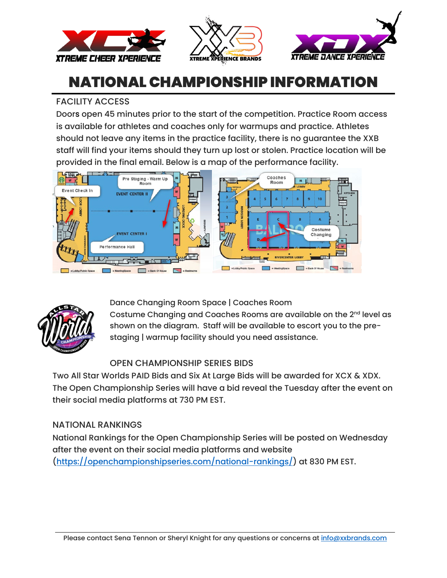





### FACILITY ACCESS

Doors open 45 minutes prior to the start of the competition. Practice Room access is available for athletes and coaches only for warmups and practice. Athletes should not leave any items in the practice facility, there is no guarantee the XXB staff will find your items should they turn up lost or stolen. Practice location will be provided in the final email. Below is a map of the performance facility.





Dance Changing Room Space | Coaches Room

Costume Changing and Coaches Rooms are available on the 2<sup>nd</sup> level as shown on the diagram. Staff will be available to escort you to the prestaging | warmup facility should you need assistance.

## OPEN CHAMPIONSHIP SERIES BIDS

Two All Star Worlds PAID Bids and Six At Large Bids will be awarded for XCX & XDX. The Open Championship Series will have a bid reveal the Tuesday after the event on their social media platforms at 730 PM EST.

## NATIONAL RANKINGS

National Rankings for the Open Championship Series will be posted on Wednesday after the event on their social media platforms and website [\(https://openchampionshipseries.com/national-rankings/\)](https://openchampionshipseries.com/national-rankings/) at 830 PM EST.